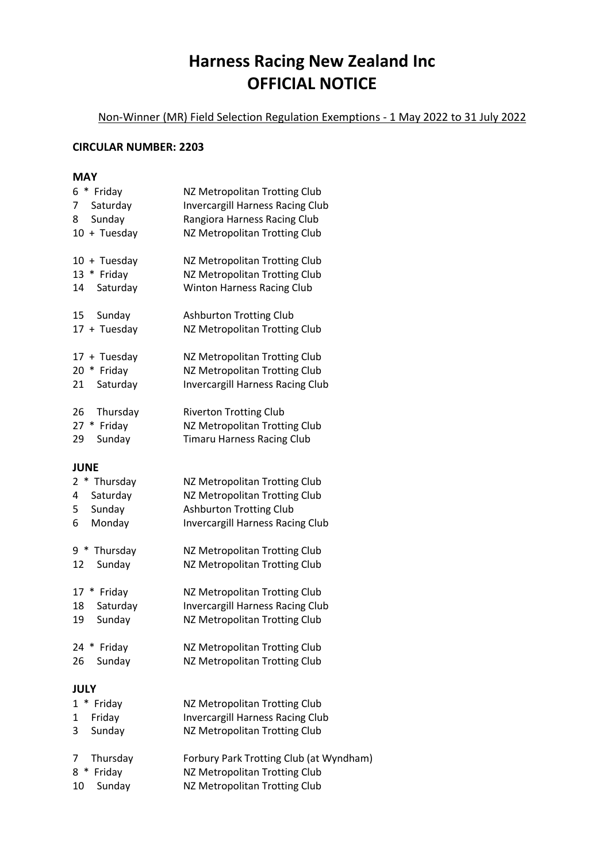## **Harness Racing New Zealand Inc OFFICIAL NOTICE**

Non-Winner (MR) Field Selection Regulation Exemptions - 1 May 2022 to 31 July 2022

## **CIRCULAR NUMBER: 2203**

## **MAY**

| * Friday<br>6<br>7<br>Saturday<br>8<br>Sunday<br>10 + Tuesday                           | NZ Metropolitan Trotting Club<br><b>Invercargill Harness Racing Club</b><br>Rangiora Harness Racing Club<br>NZ Metropolitan Trotting Club                                   |
|-----------------------------------------------------------------------------------------|-----------------------------------------------------------------------------------------------------------------------------------------------------------------------------|
| $10 + Tuesday$<br>13 * Friday<br>Saturday<br>14                                         | NZ Metropolitan Trotting Club<br>NZ Metropolitan Trotting Club<br><b>Winton Harness Racing Club</b>                                                                         |
| 15<br>Sunday<br>17 + Tuesday                                                            | <b>Ashburton Trotting Club</b><br>NZ Metropolitan Trotting Club                                                                                                             |
| 17 + Tuesday<br>20 * Friday<br>Saturday<br>21                                           | NZ Metropolitan Trotting Club<br>NZ Metropolitan Trotting Club<br><b>Invercargill Harness Racing Club</b>                                                                   |
| 26<br>Thursday<br>Friday<br>$27 *$<br>Sunday<br>29                                      | <b>Riverton Trotting Club</b><br>NZ Metropolitan Trotting Club<br><b>Timaru Harness Racing Club</b>                                                                         |
| <b>JUNE</b>                                                                             |                                                                                                                                                                             |
| 2<br>* Thursday<br>4<br>Saturday<br>Sunday<br>5<br>Monday<br>6                          | NZ Metropolitan Trotting Club<br>NZ Metropolitan Trotting Club<br><b>Ashburton Trotting Club</b><br><b>Invercargill Harness Racing Club</b>                                 |
| 9<br>$\ast$<br>Thursday<br>12<br>Sunday                                                 | NZ Metropolitan Trotting Club<br>NZ Metropolitan Trotting Club                                                                                                              |
| $17 *$<br>Friday<br>18<br>Saturday<br>Sunday<br>19<br>24<br>¥<br>Friday<br>Sunday<br>26 | NZ Metropolitan Trotting Club<br><b>Invercargill Harness Racing Club</b><br>NZ Metropolitan Trotting Club<br>NZ Metropolitan Trotting Club<br>NZ Metropolitan Trotting Club |
| <b>JULY</b>                                                                             |                                                                                                                                                                             |
| * Friday<br>$\mathbf{1}$                                                                | NZ Metropolitan Trotting Club                                                                                                                                               |
| Friday<br>1<br>3<br>Sunday                                                              | <b>Invercargill Harness Racing Club</b><br>NZ Metropolitan Trotting Club                                                                                                    |
| Thursday<br>7<br>8<br>Friday<br>¥<br>Sunday<br>10                                       | Forbury Park Trotting Club (at Wyndham)<br>NZ Metropolitan Trotting Club<br>NZ Metropolitan Trotting Club                                                                   |